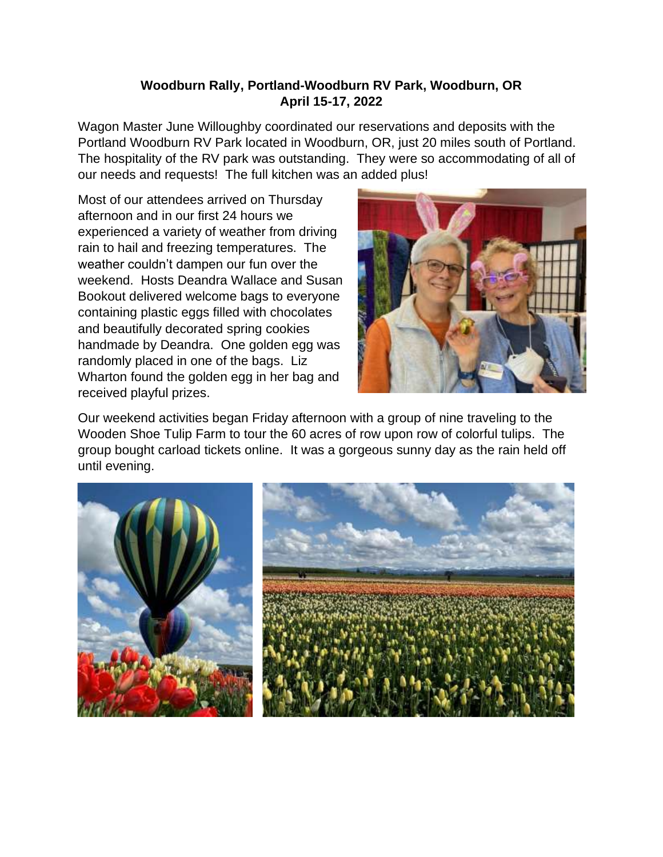## **Woodburn Rally, Portland-Woodburn RV Park, Woodburn, OR April 15-17, 2022**

Wagon Master June Willoughby coordinated our reservations and deposits with the Portland Woodburn RV Park located in Woodburn, OR, just 20 miles south of Portland. The hospitality of the RV park was outstanding. They were so accommodating of all of our needs and requests! The full kitchen was an added plus!

Most of our attendees arrived on Thursday afternoon and in our first 24 hours we experienced a variety of weather from driving rain to hail and freezing temperatures. The weather couldn't dampen our fun over the weekend. Hosts Deandra Wallace and Susan Bookout delivered welcome bags to everyone containing plastic eggs filled with chocolates and beautifully decorated spring cookies handmade by Deandra. One golden egg was randomly placed in one of the bags. Liz Wharton found the golden egg in her bag and received playful prizes.



Our weekend activities began Friday afternoon with a group of nine traveling to the Wooden Shoe Tulip Farm to tour the 60 acres of row upon row of colorful tulips. The group bought carload tickets online. It was a gorgeous sunny day as the rain held off until evening.

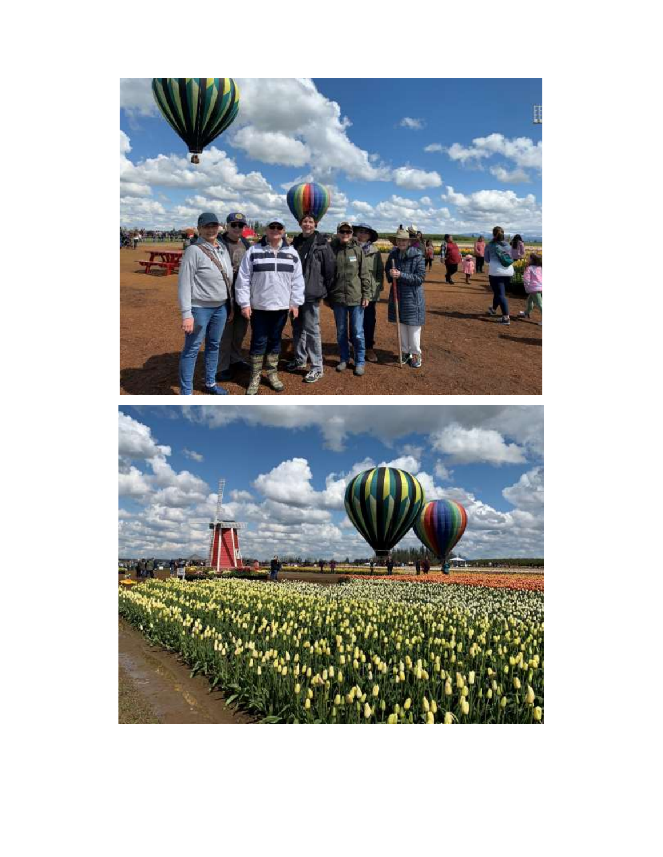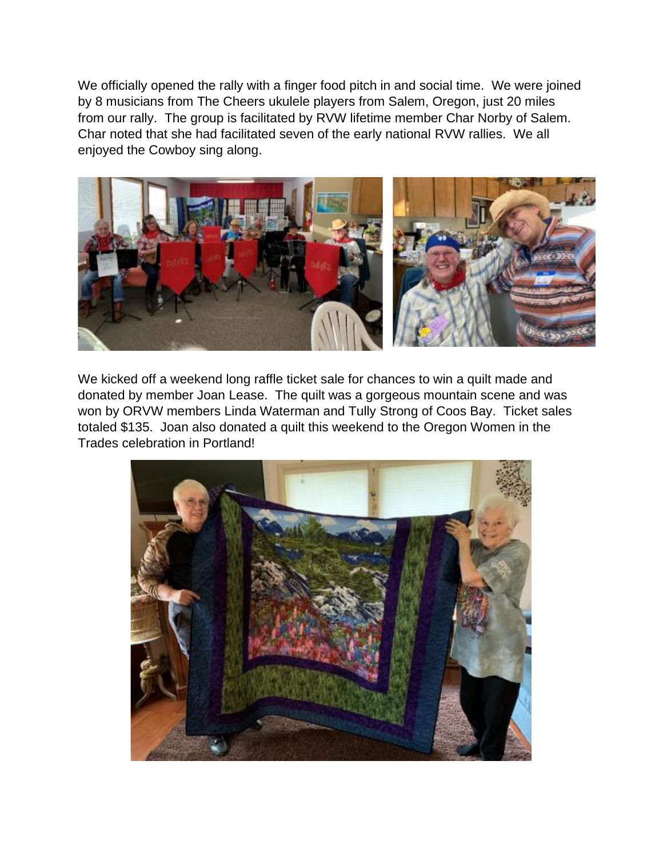We officially opened the rally with a finger food pitch in and social time. We were joined by 8 musicians from The Cheers ukulele players from Salem, Oregon, just 20 miles from our rally. The group is facilitated by RVW lifetime member Char Norby of Salem. Char noted that she had facilitated seven of the early national RVW rallies. We all enjoyed the Cowboy sing along.



We kicked off a weekend long raffle ticket sale for chances to win a quilt made and donated by member Joan Lease. The quilt was a gorgeous mountain scene and was won by ORVW members Linda Waterman and Tully Strong of Coos Bay. Ticket sales totaled \$135. Joan also donated a quilt this weekend to the Oregon Women in the Trades celebration in Portland!

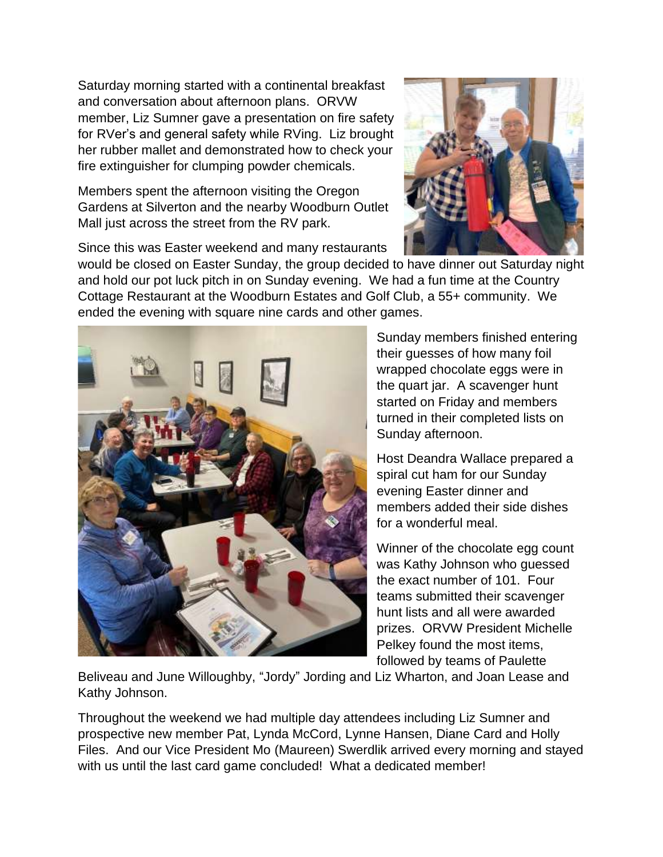Saturday morning started with a continental breakfast and conversation about afternoon plans. ORVW member, Liz Sumner gave a presentation on fire safety for RVer's and general safety while RVing. Liz brought her rubber mallet and demonstrated how to check your fire extinguisher for clumping powder chemicals.

Members spent the afternoon visiting the Oregon Gardens at Silverton and the nearby Woodburn Outlet Mall just across the street from the RV park.

Since this was Easter weekend and many restaurants



would be closed on Easter Sunday, the group decided to have dinner out Saturday night and hold our pot luck pitch in on Sunday evening. We had a fun time at the Country Cottage Restaurant at the Woodburn Estates and Golf Club, a 55+ community. We ended the evening with square nine cards and other games.



Sunday members finished entering their guesses of how many foil wrapped chocolate eggs were in the quart jar. A scavenger hunt started on Friday and members turned in their completed lists on Sunday afternoon.

Host Deandra Wallace prepared a spiral cut ham for our Sunday evening Easter dinner and members added their side dishes for a wonderful meal.

Winner of the chocolate egg count was Kathy Johnson who guessed the exact number of 101. Four teams submitted their scavenger hunt lists and all were awarded prizes. ORVW President Michelle Pelkey found the most items, followed by teams of Paulette

Beliveau and June Willoughby, "Jordy" Jording and Liz Wharton, and Joan Lease and Kathy Johnson.

Throughout the weekend we had multiple day attendees including Liz Sumner and prospective new member Pat, Lynda McCord, Lynne Hansen, Diane Card and Holly Files. And our Vice President Mo (Maureen) Swerdlik arrived every morning and stayed with us until the last card game concluded! What a dedicated member!